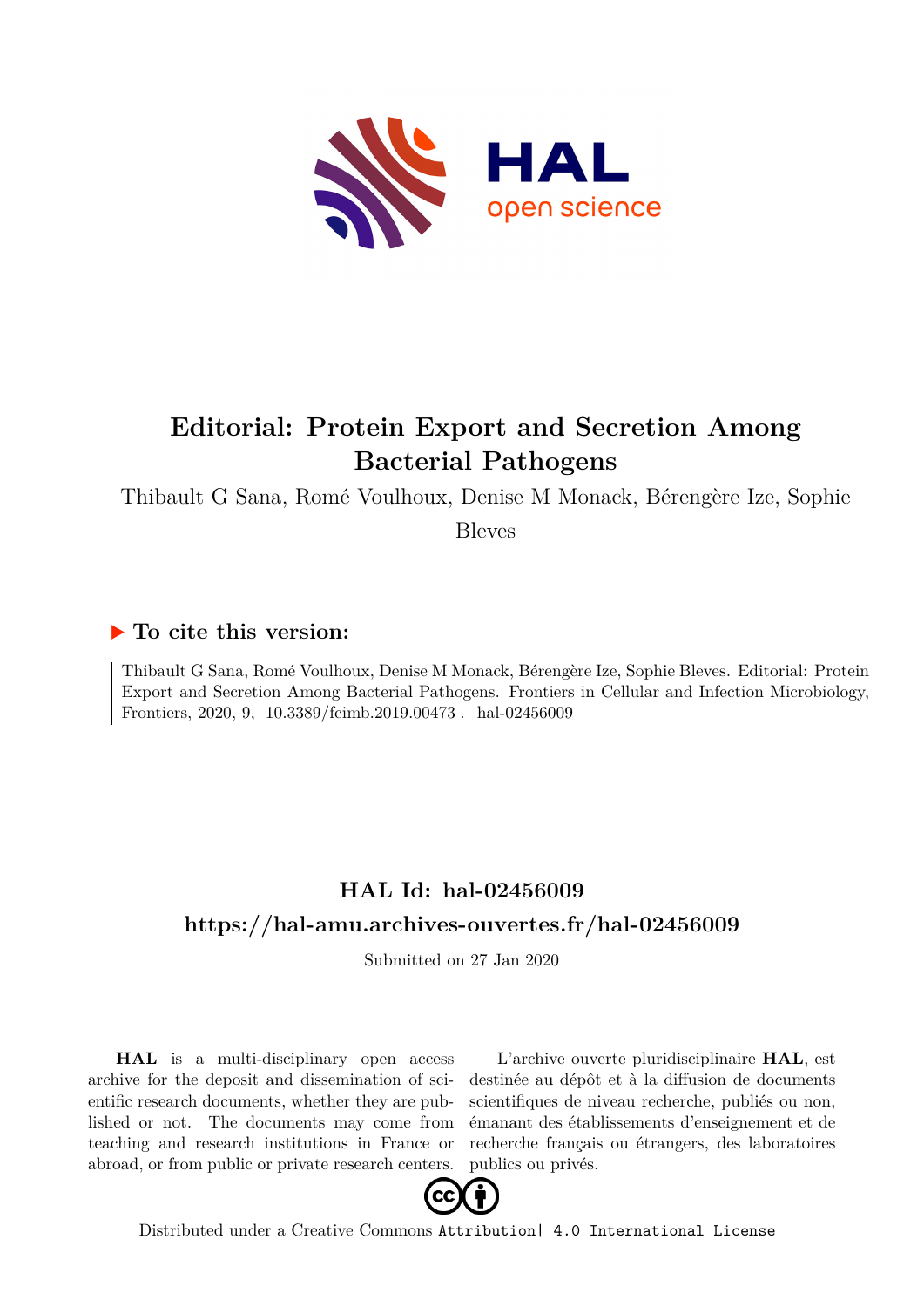

## **Editorial: Protein Export and Secretion Among Bacterial Pathogens**

Thibault G Sana, Romé Voulhoux, Denise M Monack, Bérengère Ize, Sophie

Bleves

## **To cite this version:**

Thibault G Sana, Romé Voulhoux, Denise M Monack, Bérengère Ize, Sophie Bleves. Editorial: Protein Export and Secretion Among Bacterial Pathogens. Frontiers in Cellular and Infection Microbiology, Frontiers, 2020, 9, 10.3389/fcimb.2019.00473. hal-02456009

## **HAL Id: hal-02456009 <https://hal-amu.archives-ouvertes.fr/hal-02456009>**

Submitted on 27 Jan 2020

**HAL** is a multi-disciplinary open access archive for the deposit and dissemination of scientific research documents, whether they are published or not. The documents may come from teaching and research institutions in France or abroad, or from public or private research centers.

L'archive ouverte pluridisciplinaire **HAL**, est destinée au dépôt et à la diffusion de documents scientifiques de niveau recherche, publiés ou non, émanant des établissements d'enseignement et de recherche français ou étrangers, des laboratoires publics ou privés.



Distributed under a Creative Commons [Attribution| 4.0 International License](http://creativecommons.org/licenses/by/4.0/)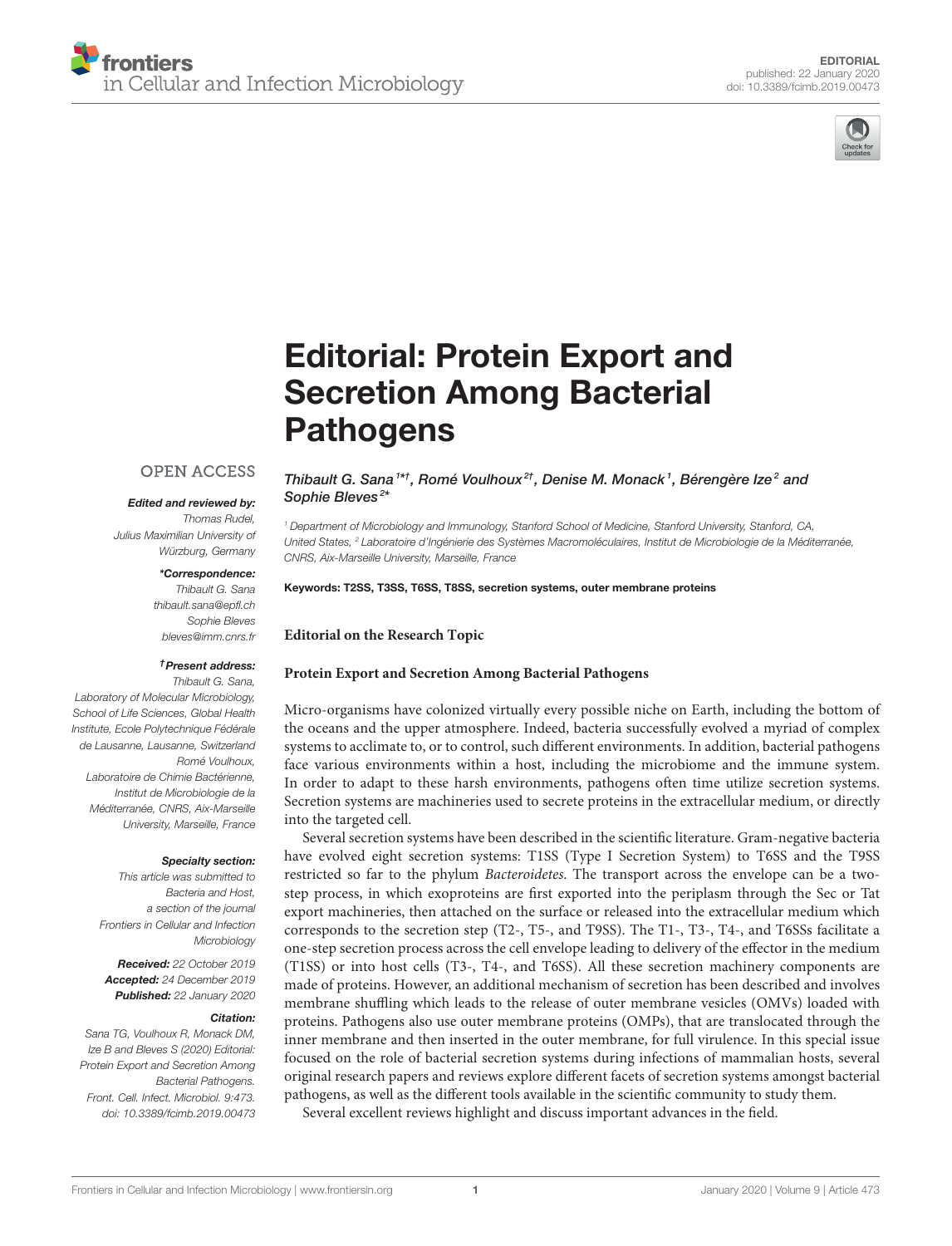



# [Editorial: Protein Export and](https://www.frontiersin.org/articles/10.3389/fcimb.2019.00473/full) Secretion Among Bacterial **Pathogens**

#### **OPEN ACCESS**

#### Edited and reviewed by:

Thomas Rudel, Julius Maximilian University of Würzburg, Germany

#### \*Correspondence:

Thibault G. Sana [thibault.sana@epfl.ch](mailto:thibault.sana@epfl.ch) Sophie Bleves [bleves@imm.cnrs.fr](mailto:bleves@imm.cnrs.fr)

#### †Present address:

Thibault G. Sana, Laboratory of Molecular Microbiology, School of Life Sciences, Global Health Institute, Ecole Polytechnique Fédérale de Lausanne, Lausanne, Switzerland Romé Voulhoux, Laboratoire de Chimie Bactérienne, Institut de Microbiologie de la Méditerranée, CNRS, Aix-Marseille University, Marseille, France

#### Specialty section:

This article was submitted to Bacteria and Host, a section of the journal Frontiers in Cellular and Infection **Microbiology** 

Received: 22 October 2019 Accepted: 24 December 2019 Published: 22 January 2020

#### Citation:

Sana TG, Voulhoux R, Monack DM, Ize B and Bleves S (2020) Editorial: Protein Export and Secretion Among Bacterial Pathogens. Front. Cell. Infect. Microbiol. 9:473. doi: [10.3389/fcimb.2019.00473](https://doi.org/10.3389/fcimb.2019.00473)

#### [Thibault G. Sana](http://loop.frontiersin.org/people/281211/overview)<sup>1\*†</sup>, [Romé Voulhoux](http://loop.frontiersin.org/people/83999/overview)<sup>2†</sup>, [Denise M. Monack](http://loop.frontiersin.org/people/15977/overview)<sup>1</sup>, [Bérengère Ize](http://loop.frontiersin.org/people/343052/overview)<sup>2</sup> and [Sophie Bleves](http://loop.frontiersin.org/people/246437/overview)<sup>2\*</sup>

<sup>1</sup> Department of Microbiology and Immunology, Stanford School of Medicine, Stanford University, Stanford, CA, United States, <sup>2</sup> Laboratoire d'Ingénierie des Systèmes Macromoléculaires, Institut de Microbiologie de la Méditerranée, CNRS, Aix-Marseille University, Marseille, France

#### Keywords: T2SS, T3SS, T6SS, T8SS, secretion systems, outer membrane proteins

**Editorial on the Research Topic**

#### **[Protein Export and Secretion Among Bacterial Pathogens](https://www.frontiersin.org/research-topics/4922/protein-export-and-secretion-among-bacterial-pathogens)**

Micro-organisms have colonized virtually every possible niche on Earth, including the bottom of the oceans and the upper atmosphere. Indeed, bacteria successfully evolved a myriad of complex systems to acclimate to, or to control, such different environments. In addition, bacterial pathogens face various environments within a host, including the microbiome and the immune system. In order to adapt to these harsh environments, pathogens often time utilize secretion systems. Secretion systems are machineries used to secrete proteins in the extracellular medium, or directly into the targeted cell.

Several secretion systems have been described in the scientific literature. Gram-negative bacteria have evolved eight secretion systems: T1SS (Type I Secretion System) to T6SS and the T9SS restricted so far to the phylum Bacteroidetes. The transport across the envelope can be a twostep process, in which exoproteins are first exported into the periplasm through the Sec or Tat export machineries, then attached on the surface or released into the extracellular medium which corresponds to the secretion step (T2-, T5-, and T9SS). The T1-, T3-, T4-, and T6SSs facilitate a one-step secretion process across the cell envelope leading to delivery of the effector in the medium (T1SS) or into host cells (T3-, T4-, and T6SS). All these secretion machinery components are made of proteins. However, an additional mechanism of secretion has been described and involves membrane shuffling which leads to the release of outer membrane vesicles (OMVs) loaded with proteins. Pathogens also use outer membrane proteins (OMPs), that are translocated through the inner membrane and then inserted in the outer membrane, for full virulence. In this special issue focused on the role of bacterial secretion systems during infections of mammalian hosts, several original research papers and reviews explore different facets of secretion systems amongst bacterial pathogens, as well as the different tools available in the scientific community to study them.

Several excellent reviews highlight and discuss important advances in the field.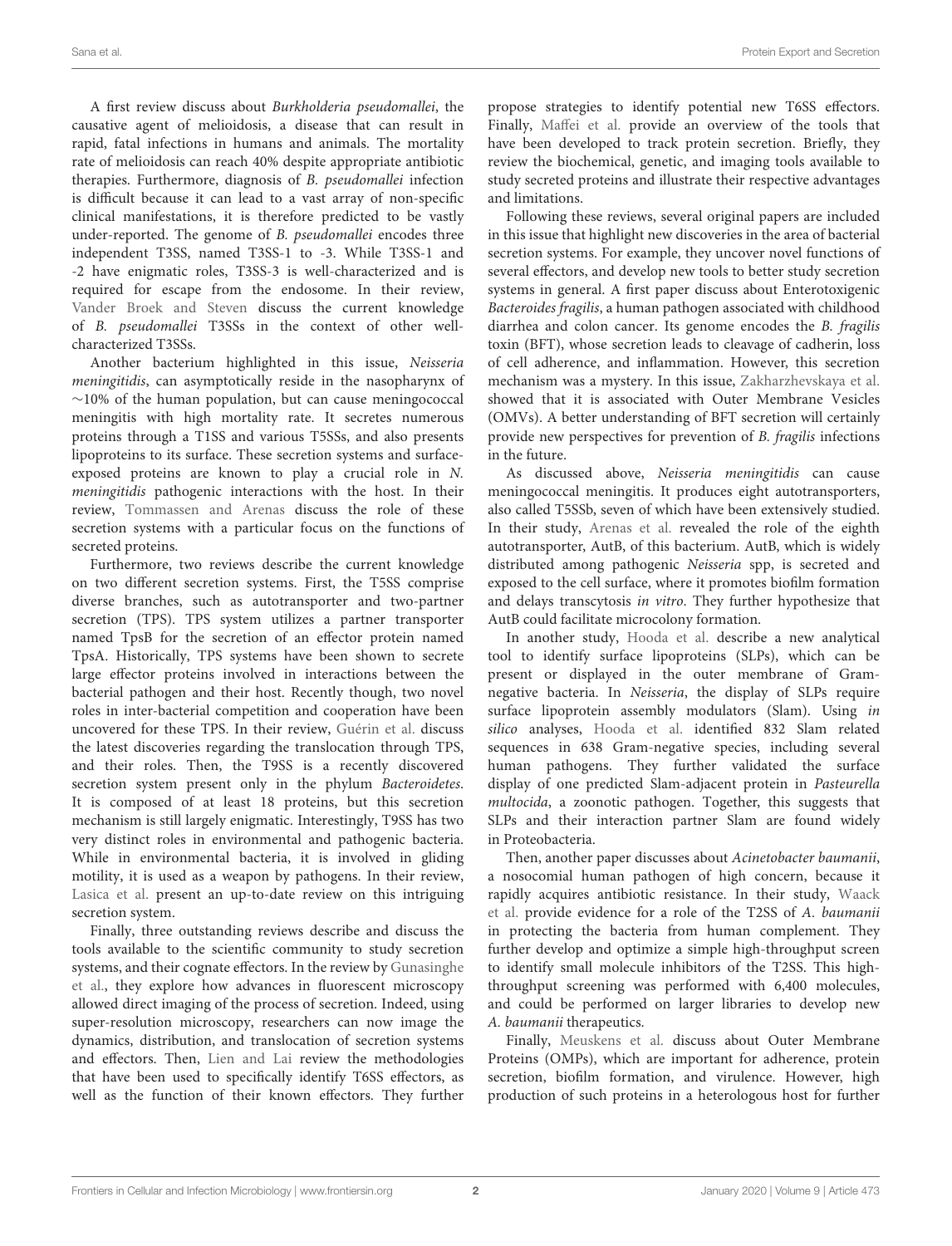A first review discuss about Burkholderia pseudomallei, the causative agent of melioidosis, a disease that can result in rapid, fatal infections in humans and animals. The mortality rate of melioidosis can reach 40% despite appropriate antibiotic therapies. Furthermore, diagnosis of B. pseudomallei infection is difficult because it can lead to a vast array of non-specific clinical manifestations, it is therefore predicted to be vastly under-reported. The genome of B. pseudomallei encodes three independent T3SS, named T3SS-1 to -3. While T3SS-1 and -2 have enigmatic roles, T3SS-3 is well-characterized and is required for escape from the endosome. In their review, [Vander Broek and Steven](https://doi.org/10.3389/fcimb.2017.00255) discuss the current knowledge of B. pseudomallei T3SSs in the context of other wellcharacterized T3SSs.

Another bacterium highlighted in this issue, Neisseria meningitidis, can asymptotically reside in the nasopharynx of ∼10% of the human population, but can cause meningococcal meningitis with high mortality rate. It secretes numerous proteins through a T1SS and various T5SSs, and also presents lipoproteins to its surface. These secretion systems and surfaceexposed proteins are known to play a crucial role in N. meningitidis pathogenic interactions with the host. In their review, [Tommassen and Arenas](https://doi.org/10.3389/fcimb.2017.00256) discuss the role of these secretion systems with a particular focus on the functions of secreted proteins.

Furthermore, two reviews describe the current knowledge on two different secretion systems. First, the T5SS comprise diverse branches, such as autotransporter and two-partner secretion (TPS). TPS system utilizes a partner transporter named TpsB for the secretion of an effector protein named TpsA. Historically, TPS systems have been shown to secrete large effector proteins involved in interactions between the bacterial pathogen and their host. Recently though, two novel roles in inter-bacterial competition and cooperation have been uncovered for these TPS. In their review, [Guérin et al.](https://doi.org/10.3389/fcimb.2017.00148) discuss the latest discoveries regarding the translocation through TPS, and their roles. Then, the T9SS is a recently discovered secretion system present only in the phylum Bacteroidetes. It is composed of at least 18 proteins, but this secretion mechanism is still largely enigmatic. Interestingly, T9SS has two very distinct roles in environmental and pathogenic bacteria. While in environmental bacteria, it is involved in gliding motility, it is used as a weapon by pathogens. In their review, [Lasica et al.](https://doi.org/10.3389/fcimb.2017.00215) present an up-to-date review on this intriguing secretion system.

Finally, three outstanding reviews describe and discuss the tools available to the scientific community to study secretion systems, and their cognate effectors. In the review by Gunasinghe [et al., they explore how advances in fluorescent microscopy](https://doi.org/10.3389/fcimb.2017.00220) allowed direct imaging of the process of secretion. Indeed, using super-resolution microscopy, researchers can now image the dynamics, distribution, and translocation of secretion systems and effectors. Then, [Lien and Lai](https://doi.org/10.3389/fcimb.2017.00254) review the methodologies that have been used to specifically identify T6SS effectors, as well as the function of their known effectors. They further propose strategies to identify potential new T6SS effectors. Finally, [Maffei et al.](https://doi.org/10.3389/fcimb.2017.00221) provide an overview of the tools that have been developed to track protein secretion. Briefly, they review the biochemical, genetic, and imaging tools available to study secreted proteins and illustrate their respective advantages and limitations.

Following these reviews, several original papers are included in this issue that highlight new discoveries in the area of bacterial secretion systems. For example, they uncover novel functions of several effectors, and develop new tools to better study secretion systems in general. A first paper discuss about Enterotoxigenic Bacteroides fragilis, a human pathogen associated with childhood diarrhea and colon cancer. Its genome encodes the B. fragilis toxin (BFT), whose secretion leads to cleavage of cadherin, loss of cell adherence, and inflammation. However, this secretion mechanism was a mystery. In this issue, [Zakharzhevskaya et al.](https://doi.org/10.3389/fcimb.2017.00002) showed that it is associated with Outer Membrane Vesicles (OMVs). A better understanding of BFT secretion will certainly provide new perspectives for prevention of B. fragilis infections in the future.

As discussed above, Neisseria meningitidis can cause meningococcal meningitis. It produces eight autotransporters, also called T5SSb, seven of which have been extensively studied. In their study, [Arenas et al.](https://doi.org/10.3389/fcimb.2016.00162) revealed the role of the eighth autotransporter, AutB, of this bacterium. AutB, which is widely distributed among pathogenic Neisseria spp, is secreted and exposed to the cell surface, where it promotes biofilm formation and delays transcytosis in vitro. They further hypothesize that AutB could facilitate microcolony formation.

In another study, [Hooda et al.](https://doi.org/10.3389/fcimb.2017.00207) describe a new analytical tool to identify surface lipoproteins (SLPs), which can be present or displayed in the outer membrane of Gramnegative bacteria. In Neisseria, the display of SLPs require surface lipoprotein assembly modulators (Slam). Using in silico analyses, [Hooda et al.](https://doi.org/10.3389/fcimb.2017.00207) identified 832 Slam related sequences in 638 Gram-negative species, including several human pathogens. They further validated the surface display of one predicted Slam-adjacent protein in Pasteurella multocida, a zoonotic pathogen. Together, this suggests that SLPs and their interaction partner Slam are found widely in Proteobacteria.

Then, another paper discusses about Acinetobacter baumanii, a nosocomial human pathogen of high concern, because it [rapidly acquires antibiotic resistance. In their study,](https://doi.org/10.3389/fcimb.2017.00380) Waack et al. provide evidence for a role of the T2SS of A. baumanii in protecting the bacteria from human complement. They further develop and optimize a simple high-throughput screen to identify small molecule inhibitors of the T2SS. This highthroughput screening was performed with 6,400 molecules, and could be performed on larger libraries to develop new A. baumanii therapeutics.

Finally, [Meuskens et al.](https://doi.org/10.3389/fcimb.2017.00464) discuss about Outer Membrane Proteins (OMPs), which are important for adherence, protein secretion, biofilm formation, and virulence. However, high production of such proteins in a heterologous host for further